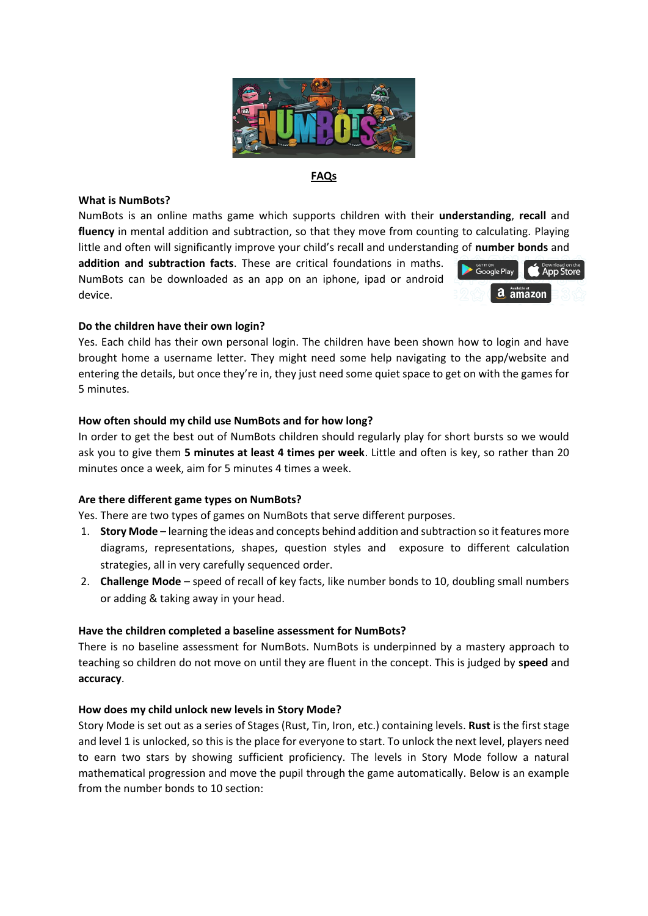

## **FAQs**

#### **What is NumBots?**

NumBots is an online maths game which supports children with their **understanding**, **recall** and **fluency** in mental addition and subtraction, so that they move from counting to calculating. Playing little and often will significantly improve your child's recall and understanding of **number bonds** and

**addition and subtraction facts**. These are critical foundations in maths. NumBots can be downloaded as an app on an iphone, ipad or android device.



## **Do the children have their own login?**

Yes. Each child has their own personal login. The children have been shown how to login and have brought home a username letter. They might need some help navigating to the app/website and entering the details, but once they're in, they just need some quiet space to get on with the games for 5 minutes.

## **How often should my child use NumBots and for how long?**

In order to get the best out of NumBots children should regularly play for short bursts so we would ask you to give them **5 minutes at least 4 times per week**. Little and often is key, so rather than 20 minutes once a week, aim for 5 minutes 4 times a week.

## **Are there different game types on NumBots?**

Yes. There are two types of games on NumBots that serve different purposes.

- 1. **Story Mode** learning the ideas and concepts behind addition and subtraction so it features more diagrams, representations, shapes, question styles and exposure to different calculation strategies, all in very carefully sequenced order.
- 2. **Challenge Mode** speed of recall of key facts, like number bonds to 10, doubling small numbers or adding & taking away in your head.

#### **Have the children completed a baseline assessment for NumBots?**

There is no baseline assessment for NumBots. NumBots is underpinned by a mastery approach to teaching so children do not move on until they are fluent in the concept. This is judged by **speed** and **accuracy**.

#### **How does my child unlock new levels in Story Mode?**

Story Mode is set out as a series of Stages (Rust, Tin, Iron, etc.) containing levels. **Rust** is the first stage and level 1 is unlocked, so this is the place for everyone to start. To unlock the next level, players need to earn two stars by showing sufficient proficiency. The levels in Story Mode follow a natural mathematical progression and move the pupil through the game automatically. Below is an example from the number bonds to 10 section: